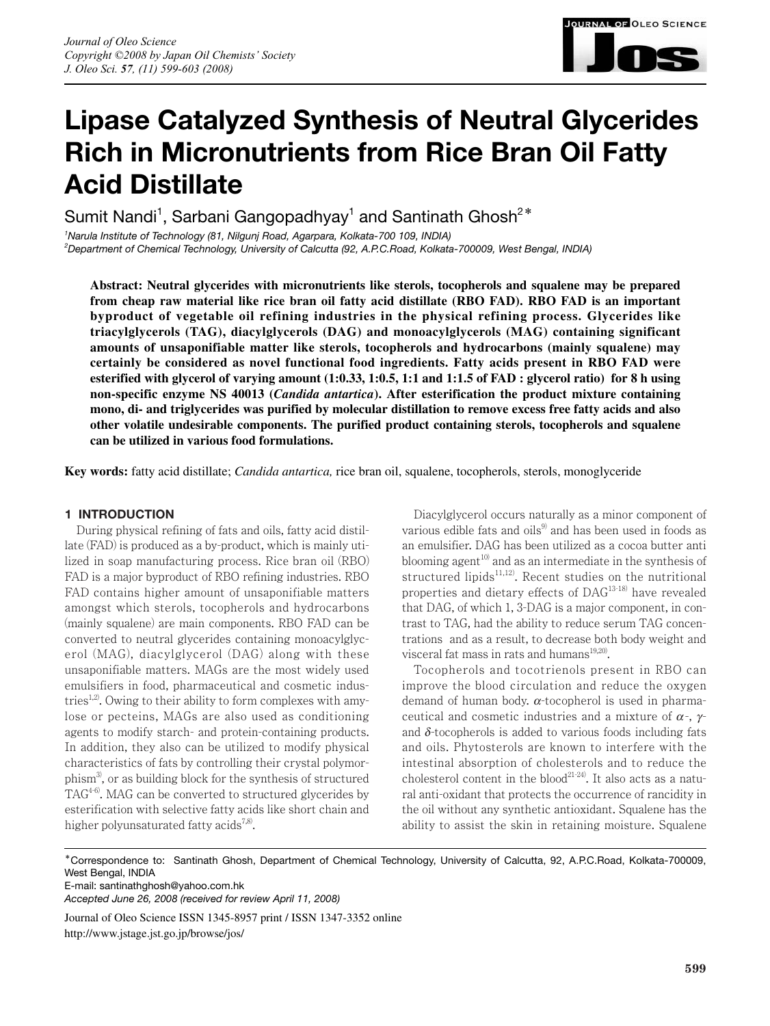

# **Lipase Catalyzed Synthesis of Neutral Glycerides Rich in Micronutrients from Rice Bran Oil Fatty Acid Distillate**

Sumit Nandi<sup>1</sup>, Sarbani Gangopadhyay<sup>1</sup> and Santinath Ghosh<sup>2\*</sup>

*1 Narula Institute of Technology (81, Nilgunj Road, Agarpara, Kolkata-700 109, INDIA) 2 Department of Chemical Technology, University of Calcutta (92, A.P.C.Road, Kolkata-700009, West Bengal, INDIA)*

**Abstract: Neutral glycerides with micronutrients like sterols, tocopherols and squalene may be prepared from cheap raw material like rice bran oil fatty acid distillate (RBO FAD). RBO FAD is an important byproduct of vegetable oil refining industries in the physical refining process. Glycerides like triacylglycerols (TAG), diacylglycerols (DAG) and monoacylglycerols (MAG) containing significant amounts of unsaponifiable matter like sterols, tocopherols and hydrocarbons (mainly squalene) may certainly be considered as novel functional food ingredients. Fatty acids present in RBO FAD were esterified with glycerol of varying amount (1:0.33, 1:0.5, 1:1 and 1:1.5 of FAD : glycerol ratio) for 8 h using non-specific enzyme NS 40013 (***Candida antartica***). After esterification the product mixture containing mono, di- and triglycerides was purified by molecular distillation to remove excess free fatty acids and also other volatile undesirable components. The purified product containing sterols, tocopherols and squalene can be utilized in various food formulations.** 

**Key words:** fatty acid distillate; *Candida antartica,* rice bran oil, squalene, tocopherols, sterols, monoglyceride

# **1 INTRODUCTION**

During physical refining of fats and oils, fatty acid distillate (FAD) is produced as a by-product, which is mainly utilized in soap manufacturing process. Rice bran oil (RBO) FAD is a major byproduct of RBO refining industries. RBO FAD contains higher amount of unsaponifiable matters amongst which sterols, tocopherols and hydrocarbons (mainly squalene) are main components. RBO FAD can be converted to neutral glycerides containing monoacylglycerol (MAG), diacylglycerol (DAG) along with these unsaponifiable matters. MAGs are the most widely used emulsifiers in food, pharmaceutical and cosmetic industries<sup>1,2)</sup>. Owing to their ability to form complexes with amylose or pecteins, MAGs are also used as conditioning agents to modify starch- and protein-containing products. In addition, they also can be utilized to modify physical characteristics of fats by controlling their crystal polymorphism3), or as building block for the synthesis of structured TAG4-6). MAG can be converted to structured glycerides by esterification with selective fatty acids like short chain and higher polyunsaturated fatty acids<sup>7,8)</sup>.

Diacylglycerol occurs naturally as a minor component of various edible fats and oils $9$  and has been used in foods as an emulsifier. DAG has been utilized as a cocoa butter anti blooming agent<sup>10)</sup> and as an intermediate in the synthesis of structured lipids<sup>11,12)</sup>. Recent studies on the nutritional properties and dietary effects of DAG13-18) have revealed that DAG, of which 1, 3-DAG is a major component, in contrast to TAG, had the ability to reduce serum TAG concentrations and as a result, to decrease both body weight and visceral fat mass in rats and humans $19,20$ .

Tocopherols and tocotrienols present in RBO can improve the blood circulation and reduce the oxygen demand of human body.  $\alpha$ -tocopherol is used in pharmaceutical and cosmetic industries and a mixture of  $\alpha$ -,  $\gamma$ and  $\delta$ -tocopherols is added to various foods including fats and oils. Phytosterols are known to interfere with the intestinal absorption of cholesterols and to reduce the cholesterol content in the blood<sup> $21-24$ </sup>. It also acts as a natural anti-oxidant that protects the occurrence of rancidity in the oil without any synthetic antioxidant. Squalene has the ability to assist the skin in retaining moisture. Squalene

\*Correspondence to: Santinath Ghosh, Department of Chemical Technology, University of Calcutta, 92, A.P.C.Road, Kolkata-700009, West Bengal, INDIA

E-mail: santinathghosh@yahoo.com.hk

*Accepted June 26, 2008 (received for review April 11, 2008)*

Journal of Oleo Science ISSN 1345-8957 print / ISSN 1347-3352 online

http://www.jstage.jst.go.jp/browse/jos/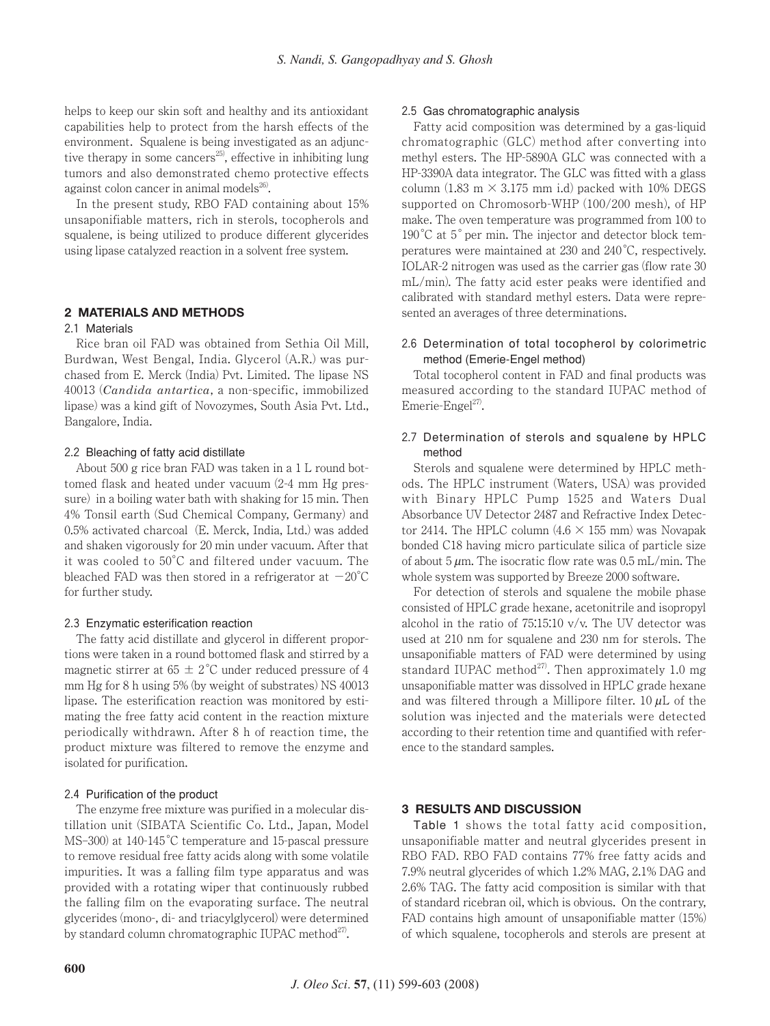helps to keep our skin soft and healthy and its antioxidant capabilities help to protect from the harsh effects of the environment. Squalene is being investigated as an adjunctive therapy in some cancers<sup>25)</sup>, effective in inhibiting lung tumors and also demonstrated chemo protective effects against colon cancer in animal models $^{26}$ .

In the present study, RBO FAD containing about 15% unsaponifiable matters, rich in sterols, tocopherols and squalene, is being utilized to produce different glycerides using lipase catalyzed reaction in a solvent free system.

# **2 MATERIALS AND METHODS**

#### 2.1 Materials

Rice bran oil FAD was obtained from Sethia Oil Mill, Burdwan, West Bengal, India. Glycerol (A.R.) was purchased from E. Merck (India) Pvt. Limited. The lipase NS 40013 (*Candida antartica*, a non-specific, immobilized lipase) was a kind gift of Novozymes, South Asia Pvt. Ltd., Bangalore, India.

## 2.2 Bleaching of fatty acid distillate

About 500 g rice bran FAD was taken in a 1 L round bottomed flask and heated under vacuum (2-4 mm Hg pressure) in a boiling water bath with shaking for 15 min. Then 4% Tonsil earth (Sud Chemical Company, Germany) and 0.5% activated charcoal (E. Merck, India, Ltd.) was added and shaken vigorously for 20 min under vacuum. After that it was cooled to 50°C and filtered under vacuum. The bleached FAD was then stored in a refrigerator at  $-20^{\circ}$ C for further study.

## 2.3 Enzymatic esterification reaction

The fatty acid distillate and glycerol in different proportions were taken in a round bottomed flask and stirred by a magnetic stirrer at  $65 \pm 2^{\circ}$ C under reduced pressure of 4 mm Hg for 8 h using 5% (by weight of substrates) NS 40013 lipase. The esterification reaction was monitored by estimating the free fatty acid content in the reaction mixture periodically withdrawn. After 8 h of reaction time, the product mixture was filtered to remove the enzyme and isolated for purification.

#### 2.4 Purification of the product

The enzyme free mixture was purified in a molecular distillation unit (SIBATA Scientific Co. Ltd., Japan, Model MS–300) at 140-145°C temperature and 15-pascal pressure to remove residual free fatty acids along with some volatile impurities. It was a falling film type apparatus and was provided with a rotating wiper that continuously rubbed the falling film on the evaporating surface. The neutral glycerides (mono-, di- and triacylglycerol) were determined by standard column chromatographic IUPAC method $27$ .

#### 2.5 Gas chromatographic analysis

Fatty acid composition was determined by a gas-liquid chromatographic (GLC) method after converting into methyl esters. The HP-5890A GLC was connected with a HP-3390A data integrator. The GLC was fitted with a glass column (1.83 m  $\times$  3.175 mm i.d) packed with 10% DEGS supported on Chromosorb-WHP (100/200 mesh), of HP make. The oven temperature was programmed from 100 to 190°C at 5°per min. The injector and detector block temperatures were maintained at 230 and 240°C, respectively. IOLAR-2 nitrogen was used as the carrier gas (flow rate 30 mL/min). The fatty acid ester peaks were identified and calibrated with standard methyl esters. Data were represented an averages of three determinations.

## 2.6 Determination of total tocopherol by colorimetric method (Emerie-Engel method)

Total tocopherol content in FAD and final products was measured according to the standard IUPAC method of Emerie-Engel $^{27}$ .

## 2.7 Determination of sterols and squalene by HPLC method

Sterols and squalene were determined by HPLC methods. The HPLC instrument (Waters, USA) was provided with Binary HPLC Pump 1525 and Waters Dual Absorbance UV Detector 2487 and Refractive Index Detector 2414. The HPLC column  $(4.6 \times 155 \text{ mm})$  was Novapak bonded C18 having micro particulate silica of particle size of about  $5 \mu m$ . The isocratic flow rate was 0.5 mL/min. The whole system was supported by Breeze 2000 software.

For detection of sterols and squalene the mobile phase consisted of HPLC grade hexane, acetonitrile and isopropyl alcohol in the ratio of  $75:15:10 \frac{\nu}{\nu}$ . The UV detector was used at 210 nm for squalene and 230 nm for sterols. The unsaponifiable matters of FAD were determined by using standard IUPAC method<sup>27)</sup>. Then approximately 1.0 mg unsaponifiable matter was dissolved in HPLC grade hexane and was filtered through a Millipore filter. 10  $\mu$ L of the solution was injected and the materials were detected according to their retention time and quantified with reference to the standard samples.

## **3 RESULTS AND DISCUSSION**

Table 1 shows the total fatty acid composition, unsaponifiable matter and neutral glycerides present in RBO FAD. RBO FAD contains 77% free fatty acids and 7.9% neutral glycerides of which 1.2% MAG, 2.1% DAG and 2.6% TAG. The fatty acid composition is similar with that of standard ricebran oil, which is obvious. On the contrary, FAD contains high amount of unsaponifiable matter (15%) of which squalene, tocopherols and sterols are present at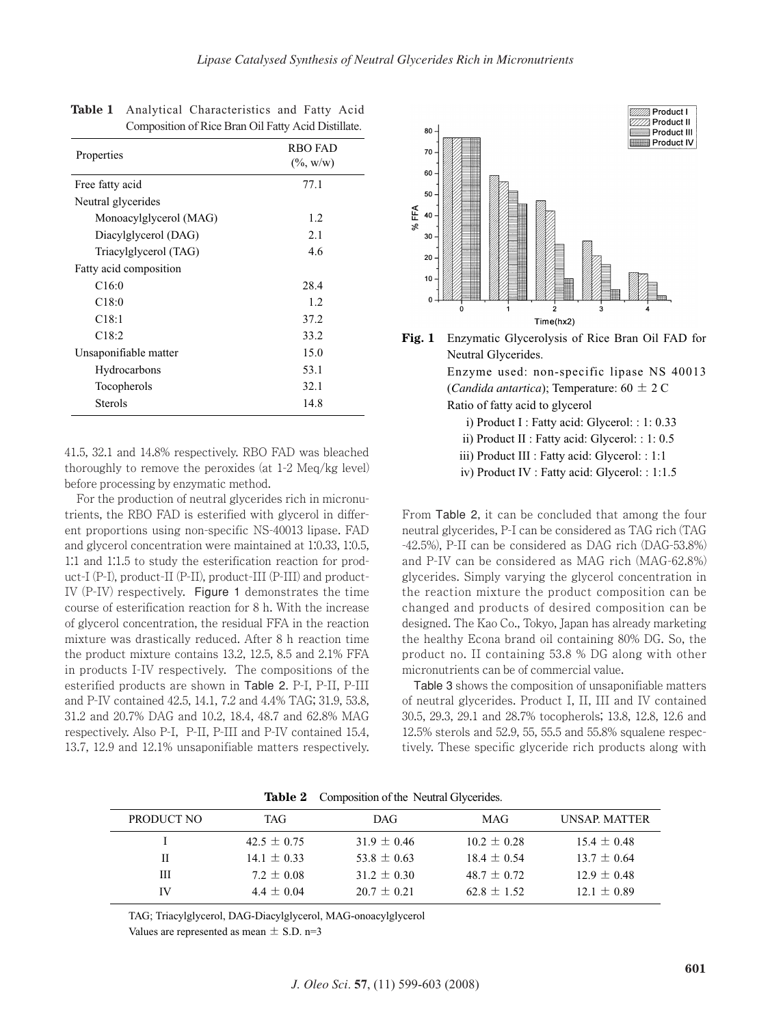| Properties             | <b>RBO FAD</b><br>$(\%,{\rm w/w})$ |
|------------------------|------------------------------------|
| Free fatty acid        | 77.1                               |
| Neutral glycerides     |                                    |
| Monoacylglycerol (MAG) | 1.2                                |
| Diacylglycerol (DAG)   | 2.1                                |
| Triacylglycerol (TAG)  | 4.6                                |
| Fatty acid composition |                                    |
| C <sub>16:0</sub>      | 28.4                               |
| C18:0                  | 1.2                                |
| C <sub>18:1</sub>      | 37.2                               |
| C18:2                  | 33.2                               |
| Unsaponifiable matter  | 15.0                               |
| Hydrocarbons           | 53.1                               |
| Tocopherols            | 32.1                               |
| Sterols                | 14.8                               |

|  | Table 1 Analytical Characteristics and Fatty Acid   |  |  |
|--|-----------------------------------------------------|--|--|
|  | Composition of Rice Bran Oil Fatty Acid Distillate. |  |  |

41.5, 32.1 and 14.8% respectively. RBO FAD was bleached thoroughly to remove the peroxides (at 1-2 Meq/kg level) before processing by enzymatic method.

For the production of neutral glycerides rich in micronutrients, the RBO FAD is esterified with glycerol in different proportions using non-specific NS-40013 lipase. FAD and glycerol concentration were maintained at 1:0.33, 1:0.5, 1:1 and 1:1.5 to study the esterification reaction for product-I (P-I), product-II (P-II), product-III (P-III) and product-IV (P-IV) respectively. Figure 1 demonstrates the time course of esterification reaction for 8 h. With the increase of glycerol concentration, the residual FFA in the reaction mixture was drastically reduced. After 8 h reaction time the product mixture contains 13.2, 12.5, 8.5 and 2.1% FFA in products I-IV respectively. The compositions of the esterified products are shown in Table 2. P-I, P-II, P-III and P-IV contained 42.5, 14.1, 7.2 and 4.4% TAG; 31.9, 53.8, 31.2 and 20.7% DAG and 10.2, 18.4, 48.7 and 62.8% MAG respectively. Also P-I, P-II, P-III and P-IV contained 15.4, 13.7, 12.9 and 12.1% unsaponifiable matters respectively.





iii) Product III : Fatty acid: Glycerol: : 1:1

iv) Product IV : Fatty acid: Glycerol: : 1:1.5

From Table 2, it can be concluded that among the four neutral glycerides, P-I can be considered as TAG rich (TAG -42.5%), P-II can be considered as DAG rich (DAG-53.8%) and P-IV can be considered as MAG rich (MAG-62.8%) glycerides. Simply varying the glycerol concentration in the reaction mixture the product composition can be changed and products of desired composition can be designed. The Kao Co., Tokyo, Japan has already marketing the healthy Econa brand oil containing 80% DG. So, the product no. II containing 53.8 % DG along with other micronutrients can be of commercial value.

Table 3 shows the composition of unsaponifiable matters of neutral glycerides. Product I, II, III and IV contained 30.5, 29.3, 29.1 and 28.7% tocopherols; 13.8, 12.8, 12.6 and 12.5% sterols and 52.9, 55, 55.5 and 55.8% squalene respectively. These specific glyceride rich products along with

| PRODUCT NO | TAG             | DAG.            | MAG             | UNSAP MATTER    |
|------------|-----------------|-----------------|-----------------|-----------------|
|            | $42.5 \pm 0.75$ | $31.9 \pm 0.46$ | $10.2 \pm 0.28$ | $15.4 \pm 0.48$ |
| н          | $14.1 + 0.33$   | $53.8 + 0.63$   | $18.4 + 0.54$   | $13.7 \pm 0.64$ |
| Ш          | $7.2 \pm 0.08$  | $31.2 + 0.30$   | $48.7 \pm 0.72$ | $12.9 \pm 0.48$ |
| IV         | $4.4 \pm 0.04$  | $20.7 + 0.21$   | $62.8 + 1.52$   | $12.1 \pm 0.89$ |

Table 2 Composition of the Neutral Glycerides.

TAG; Triacylglycerol, DAG-Diacylglycerol, MAG-onoacylglycerol

Values are represented as mean  $\pm$  S.D. n=3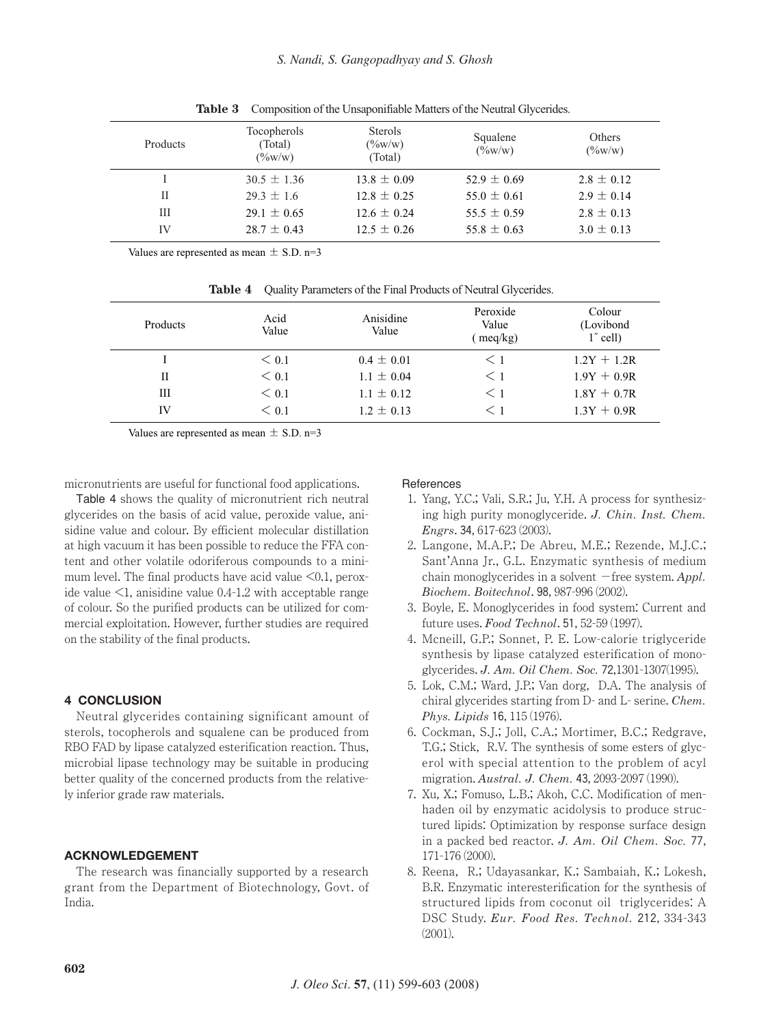| <b>Products</b> | Tocopherols<br>(Total)<br>$(\frac{9}{6}W/W)$ | <b>Sterols</b><br>$(\frac{6}{W})$<br>(Total) | Squalene<br>$(\frac{9}{6}W/W)$ | Others<br>$(\frac{9}{6}W/W)$ |
|-----------------|----------------------------------------------|----------------------------------------------|--------------------------------|------------------------------|
|                 | $30.5 \pm 1.36$                              | $13.8 \pm 0.09$                              | 52.9 $\pm$ 0.69                | $2.8 \pm 0.12$               |
| Н               | $29.3 \pm 1.6$                               | $12.8 \pm 0.25$                              | $55.0 \pm 0.61$                | $2.9 \pm 0.14$               |
| Ш               | $29.1 \pm 0.65$                              | $12.6 \pm 0.24$                              | $55.5 \pm 0.59$                | $2.8 \pm 0.13$               |
| IV              | $28.7 \pm 0.43$                              | $12.5 \pm 0.26$                              | 55.8 $\pm$ 0.63                | $3.0 \pm 0.13$               |

**Table 3** Composition of the Unsaponifiable Matters of the Neutral Glycerides.

Values are represented as mean  $\pm$  S.D. n=3

|          | <b>Rapic +</b> Quality Farallicity of the Final Frounds of Foundation (Sections). |                    |                                      |                                    |  |
|----------|-----------------------------------------------------------------------------------|--------------------|--------------------------------------|------------------------------------|--|
| Products | Acid<br>Value                                                                     | Anisidine<br>Value | Peroxide<br>Value<br>$\text{meq/kg}$ | Colour<br>(Lovibond<br>$1$ " cell) |  |
|          | $\leq 0.1$                                                                        | $0.4 \pm 0.01$     | $\leq 1$                             | $1.2Y + 1.2R$                      |  |
| Н        | $\leq 0.1$                                                                        | $1.1 \pm 0.04$     | $\leq 1$                             | $1.9Y + 0.9R$                      |  |
| Ш        | $\leq 0.1$                                                                        | $1.1 \pm 0.12$     | $\leq 1$                             | $1.8Y + 0.7R$                      |  |
| IV       | $\leq 0.1$                                                                        | $1.2 \pm 0.13$     |                                      | $1.3Y + 0.9R$                      |  |

**Table 4** Quality Parameters of the Final Products of Neutral Glycerides.

Values are represented as mean  $\pm$  S.D. n=3

micronutrients are useful for functional food applications.

Table 4 shows the quality of micronutrient rich neutral glycerides on the basis of acid value, peroxide value, anisidine value and colour. By efficient molecular distillation at high vacuum it has been possible to reduce the FFA content and other volatile odoriferous compounds to a minimum level. The final products have acid value  $\leq 0.1$ , peroxide value  $\leq 1$ , anisidine value 0.4-1.2 with acceptable range of colour. So the purified products can be utilized for commercial exploitation. However, further studies are required on the stability of the final products.

## **4 CONCLUSION**

Neutral glycerides containing significant amount of sterols, tocopherols and squalene can be produced from RBO FAD by lipase catalyzed esterification reaction. Thus, microbial lipase technology may be suitable in producing better quality of the concerned products from the relatively inferior grade raw materials.

## **ACKNOWLEDGEMENT**

The research was financially supported by a research grant from the Department of Biotechnology, Govt. of India.

#### References

- 1. Yang, Y.C.; Vali, S.R.; Ju, Y.H. A process for synthesizing high purity monoglyceride. *J. Chin. Inst. Chem. Engrs*. 34, 617-623 (2003).
- 2. Langone, M.A.P.; De Abreu, M.E.; Rezende, M.J.C.; Sant'Anna Jr., G.L. Enzymatic synthesis of medium chain monoglycerides in a solvent  $-$  free system. *Appl. Biochem. Boitechnol*. 98, 987-996 (2002).
- 3. Boyle, E. Monoglycerides in food system: Current and future uses. *Food Technol*. 51, 52-59 (1997).
- 4. Mcneill, G.P.; Sonnet, P. E. Low-calorie triglyceride synthesis by lipase catalyzed esterification of monoglycerides. *J. Am. Oil Chem. Soc.* 72,1301-1307(1995).
- 5. Lok, C.M.; Ward, J.P.; Van dorg, D.A. The analysis of chiral glycerides starting from D- and L- serine. *Chem. Phys. Lipids* 16, 115 (1976).
- 6. Cockman, S.J.; Joll, C.A.; Mortimer, B.C.; Redgrave, T.G.; Stick, R.V. The synthesis of some esters of glycerol with special attention to the problem of acyl migration. *Austral. J. Chem.* 43, 2093-2097 (1990).
- 7. Xu, X.; Fomuso, L.B.; Akoh, C.C. Modification of menhaden oil by enzymatic acidolysis to produce structured lipids: Optimization by response surface design in a packed bed reactor. *J. Am. Oil Chem. Soc.* 77, 171-176 (2000).
- 8. Reena, R.; Udayasankar, K.; Sambaiah, K.; Lokesh, B.R. Enzymatic interesterification for the synthesis of structured lipids from coconut oil triglycerides: A DSC Study. *Eur. Food Res. Technol.* 212, 334-343 (2001).